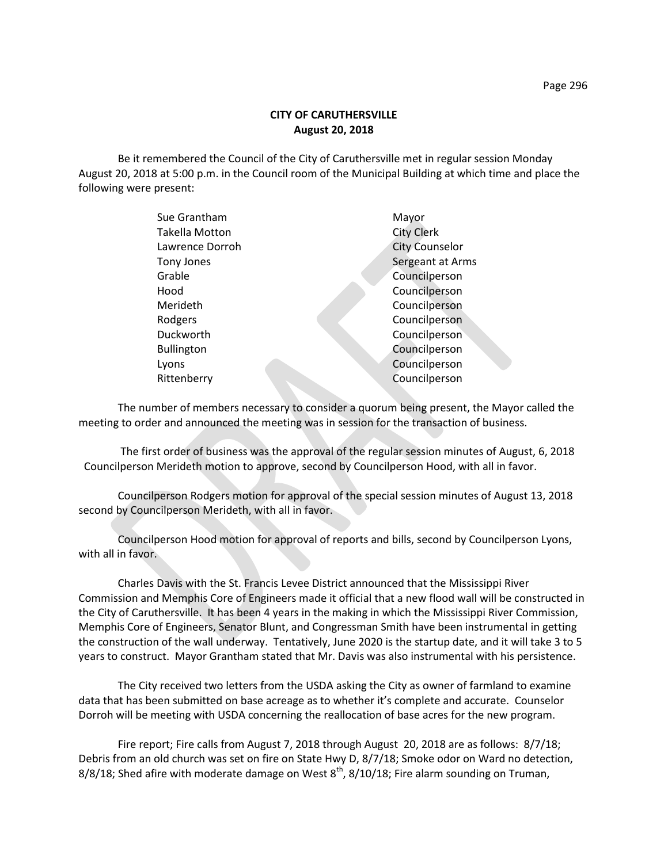Be it remembered the Council of the City of Caruthersville met in regular session Monday August 20, 2018 at 5:00 p.m. in the Council room of the Municipal Building at which time and place the following were present:

| Sue Grantham          | Mayor                 |
|-----------------------|-----------------------|
| <b>Takella Motton</b> | <b>City Clerk</b>     |
| Lawrence Dorroh       | <b>City Counselor</b> |
| Tony Jones            | Sergeant at Arms      |
| Grable                | Councilperson         |
| Hood                  | Councilperson         |
| Merideth              | Councilperson         |
| Rodgers               | Councilperson         |
| Duckworth             | Councilperson         |
| <b>Bullington</b>     | Councilperson         |
| Lyons                 | Councilperson         |
| Rittenberry           | Councilperson         |
|                       |                       |

The number of members necessary to consider a quorum being present, the Mayor called the meeting to order and announced the meeting was in session for the transaction of business.

The first order of business was the approval of the regular session minutes of August, 6, 2018 Councilperson Merideth motion to approve, second by Councilperson Hood, with all in favor.

Councilperson Rodgers motion for approval of the special session minutes of August 13, 2018 second by Councilperson Merideth, with all in favor.

Councilperson Hood motion for approval of reports and bills, second by Councilperson Lyons, with all in favor.

Charles Davis with the St. Francis Levee District announced that the Mississippi River Commission and Memphis Core of Engineers made it official that a new flood wall will be constructed in the City of Caruthersville. It has been 4 years in the making in which the Mississippi River Commission, Memphis Core of Engineers, Senator Blunt, and Congressman Smith have been instrumental in getting the construction of the wall underway. Tentatively, June 2020 is the startup date, and it will take 3 to 5 years to construct. Mayor Grantham stated that Mr. Davis was also instrumental with his persistence.

The City received two letters from the USDA asking the City as owner of farmland to examine data that has been submitted on base acreage as to whether it's complete and accurate. Counselor Dorroh will be meeting with USDA concerning the reallocation of base acres for the new program.

Fire report; Fire calls from August 7, 2018 through August 20, 2018 are as follows: 8/7/18; Debris from an old church was set on fire on State Hwy D, 8/7/18; Smoke odor on Ward no detection, 8/8/18; Shed afire with moderate damage on West  $8<sup>th</sup>$ , 8/10/18; Fire alarm sounding on Truman,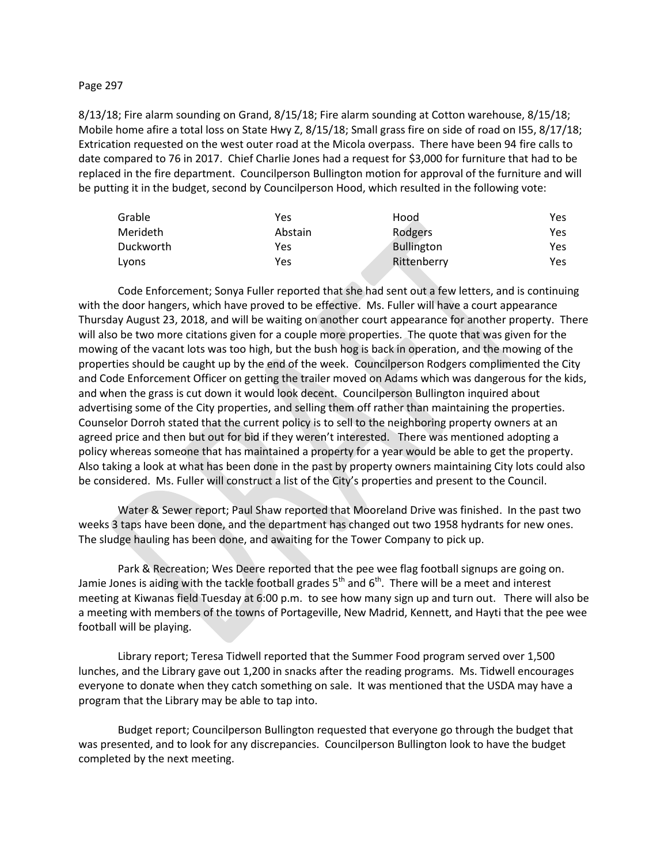#### Page 297

8/13/18; Fire alarm sounding on Grand, 8/15/18; Fire alarm sounding at Cotton warehouse, 8/15/18; Mobile home afire a total loss on State Hwy Z, 8/15/18; Small grass fire on side of road on I55, 8/17/18; Extrication requested on the west outer road at the Micola overpass. There have been 94 fire calls to date compared to 76 in 2017. Chief Charlie Jones had a request for \$3,000 for furniture that had to be replaced in the fire department. Councilperson Bullington motion for approval of the furniture and will be putting it in the budget, second by Councilperson Hood, which resulted in the following vote:

| Grable    | Yes     | Hood        | Yes  |
|-----------|---------|-------------|------|
| Merideth  | Abstain | Rodgers     | Yes. |
| Duckworth | Yes     | Bullington  | Yes. |
| Lvons     | Yes     | Rittenberry | Yes. |

Code Enforcement; Sonya Fuller reported that she had sent out a few letters, and is continuing with the door hangers, which have proved to be effective. Ms. Fuller will have a court appearance Thursday August 23, 2018, and will be waiting on another court appearance for another property. There will also be two more citations given for a couple more properties. The quote that was given for the mowing of the vacant lots was too high, but the bush hog is back in operation, and the mowing of the properties should be caught up by the end of the week. Councilperson Rodgers complimented the City and Code Enforcement Officer on getting the trailer moved on Adams which was dangerous for the kids, and when the grass is cut down it would look decent. Councilperson Bullington inquired about advertising some of the City properties, and selling them off rather than maintaining the properties. Counselor Dorroh stated that the current policy is to sell to the neighboring property owners at an agreed price and then but out for bid if they weren't interested. There was mentioned adopting a policy whereas someone that has maintained a property for a year would be able to get the property. Also taking a look at what has been done in the past by property owners maintaining City lots could also be considered. Ms. Fuller will construct a list of the City's properties and present to the Council.

Water & Sewer report; Paul Shaw reported that Mooreland Drive was finished. In the past two weeks 3 taps have been done, and the department has changed out two 1958 hydrants for new ones. The sludge hauling has been done, and awaiting for the Tower Company to pick up.

Park & Recreation; Wes Deere reported that the pee wee flag football signups are going on. Jamie Jones is aiding with the tackle football grades  $5<sup>th</sup>$  and  $6<sup>th</sup>$ . There will be a meet and interest meeting at Kiwanas field Tuesday at 6:00 p.m. to see how many sign up and turn out. There will also be a meeting with members of the towns of Portageville, New Madrid, Kennett, and Hayti that the pee wee football will be playing.

Library report; Teresa Tidwell reported that the Summer Food program served over 1,500 lunches, and the Library gave out 1,200 in snacks after the reading programs. Ms. Tidwell encourages everyone to donate when they catch something on sale. It was mentioned that the USDA may have a program that the Library may be able to tap into.

Budget report; Councilperson Bullington requested that everyone go through the budget that was presented, and to look for any discrepancies. Councilperson Bullington look to have the budget completed by the next meeting.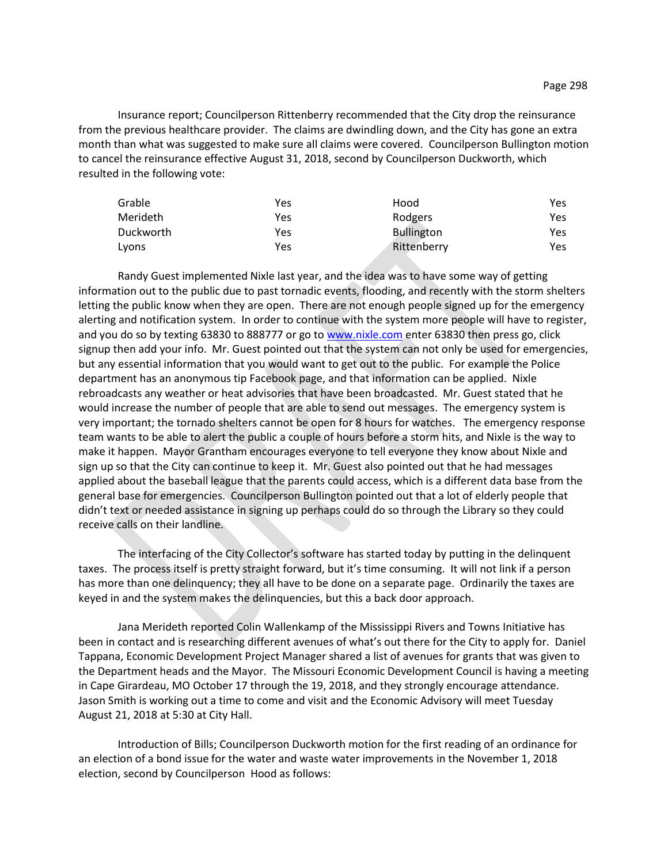Insurance report; Councilperson Rittenberry recommended that the City drop the reinsurance from the previous healthcare provider. The claims are dwindling down, and the City has gone an extra month than what was suggested to make sure all claims were covered. Councilperson Bullington motion to cancel the reinsurance effective August 31, 2018, second by Councilperson Duckworth, which resulted in the following vote:

| Grable    | Yes | Hood              | Yes |
|-----------|-----|-------------------|-----|
| Merideth  | Yes | Rodgers           | Yes |
| Duckworth | Yes | <b>Bullington</b> | Yes |
| Lyons     | Yes | Rittenberry       | Yes |

Randy Guest implemented Nixle last year, and the idea was to have some way of getting information out to the public due to past tornadic events, flooding, and recently with the storm shelters letting the public know when they are open. There are not enough people signed up for the emergency alerting and notification system. In order to continue with the system more people will have to register, and you do so by texting 63830 to 888777 or go t[o www.nixle.com](http://www.nixle.com/) enter 63830 then press go, click signup then add your info. Mr. Guest pointed out that the system can not only be used for emergencies, but any essential information that you would want to get out to the public. For example the Police department has an anonymous tip Facebook page, and that information can be applied. Nixle rebroadcasts any weather or heat advisories that have been broadcasted. Mr. Guest stated that he would increase the number of people that are able to send out messages. The emergency system is very important; the tornado shelters cannot be open for 8 hours for watches. The emergency response team wants to be able to alert the public a couple of hours before a storm hits, and Nixle is the way to make it happen. Mayor Grantham encourages everyone to tell everyone they know about Nixle and sign up so that the City can continue to keep it. Mr. Guest also pointed out that he had messages applied about the baseball league that the parents could access, which is a different data base from the general base for emergencies. Councilperson Bullington pointed out that a lot of elderly people that didn't text or needed assistance in signing up perhaps could do so through the Library so they could receive calls on their landline.

The interfacing of the City Collector's software has started today by putting in the delinquent taxes. The process itself is pretty straight forward, but it's time consuming. It will not link if a person has more than one delinquency; they all have to be done on a separate page. Ordinarily the taxes are keyed in and the system makes the delinquencies, but this a back door approach.

Jana Merideth reported Colin Wallenkamp of the Mississippi Rivers and Towns Initiative has been in contact and is researching different avenues of what's out there for the City to apply for. Daniel Tappana, Economic Development Project Manager shared a list of avenues for grants that was given to the Department heads and the Mayor. The Missouri Economic Development Council is having a meeting in Cape Girardeau, MO October 17 through the 19, 2018, and they strongly encourage attendance. Jason Smith is working out a time to come and visit and the Economic Advisory will meet Tuesday August 21, 2018 at 5:30 at City Hall.

Introduction of Bills; Councilperson Duckworth motion for the first reading of an ordinance for an election of a bond issue for the water and waste water improvements in the November 1, 2018 election, second by Councilperson Hood as follows: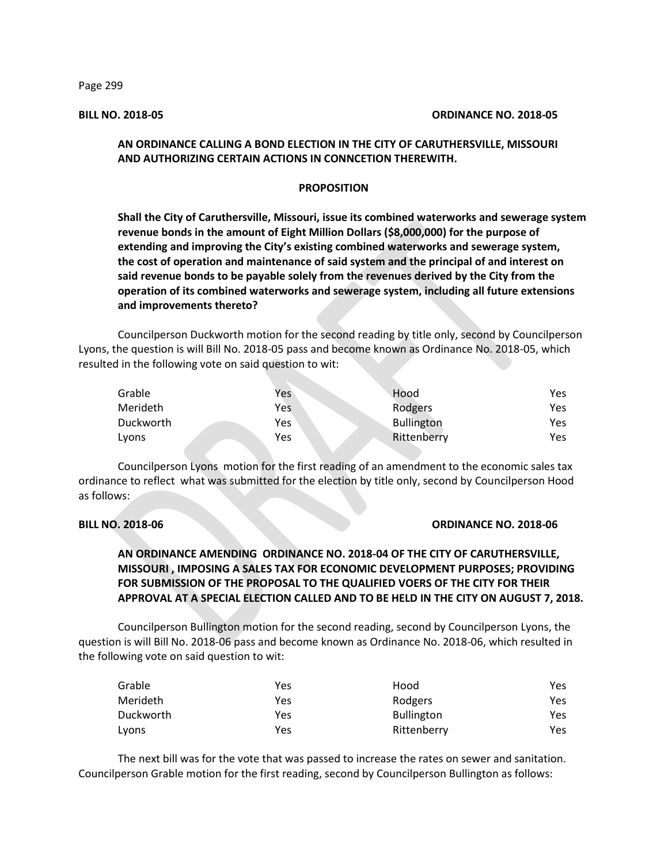Page 299

### **BILL NO. 2018-05 ORDINANCE NO. 2018-05**

## **AN ORDINANCE CALLING A BOND ELECTION IN THE CITY OF CARUTHERSVILLE, MISSOURI AND AUTHORIZING CERTAIN ACTIONS IN CONNCETION THEREWITH.**

## **PROPOSITION**

**Shall the City of Caruthersville, Missouri, issue its combined waterworks and sewerage system revenue bonds in the amount of Eight Million Dollars (\$8,000,000) for the purpose of extending and improving the City's existing combined waterworks and sewerage system, the cost of operation and maintenance of said system and the principal of and interest on said revenue bonds to be payable solely from the revenues derived by the City from the operation of its combined waterworks and sewerage system, including all future extensions and improvements thereto?**

Councilperson Duckworth motion for the second reading by title only, second by Councilperson Lyons, the question is will Bill No. 2018-05 pass and become known as Ordinance No. 2018-05, which resulted in the following vote on said question to wit:

| Grable    | Yes | Hood              | Yes |
|-----------|-----|-------------------|-----|
| Merideth  | Yes | Rodgers           | Yes |
| Duckworth | Yes | <b>Bullington</b> | Yes |
| Lyons     | Yes | Rittenberry       | Yes |

Councilperson Lyons motion for the first reading of an amendment to the economic sales tax ordinance to reflect what was submitted for the election by title only, second by Councilperson Hood as follows:

### **BILL NO. 2018-06 ORDINANCE NO. 2018-06**

## **AN ORDINANCE AMENDING ORDINANCE NO. 2018-04 OF THE CITY OF CARUTHERSVILLE, MISSOURI , IMPOSING A SALES TAX FOR ECONOMIC DEVELOPMENT PURPOSES; PROVIDING FOR SUBMISSION OF THE PROPOSAL TO THE QUALIFIED VOERS OF THE CITY FOR THEIR APPROVAL AT A SPECIAL ELECTION CALLED AND TO BE HELD IN THE CITY ON AUGUST 7, 2018.**

Councilperson Bullington motion for the second reading, second by Councilperson Lyons, the question is will Bill No. 2018-06 pass and become known as Ordinance No. 2018-06, which resulted in the following vote on said question to wit:

| Grable    | Yes | Hood              | Yes. |
|-----------|-----|-------------------|------|
| Merideth  | Yes | Rodgers           | Yes  |
| Duckworth | Yes | <b>Bullington</b> | Yes  |
| Lyons     | Yes | Rittenberry       | Yes  |

The next bill was for the vote that was passed to increase the rates on sewer and sanitation. Councilperson Grable motion for the first reading, second by Councilperson Bullington as follows: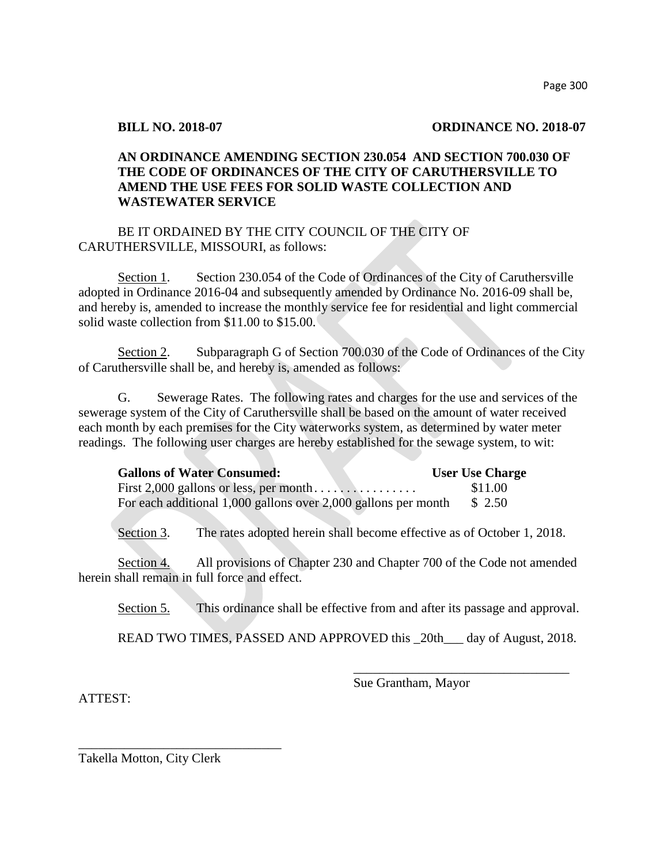## **BILL NO. 2018-07 ORDINANCE NO. 2018-07**

# **AN ORDINANCE AMENDING SECTION 230.054 AND SECTION 700.030 OF THE CODE OF ORDINANCES OF THE CITY OF CARUTHERSVILLE TO AMEND THE USE FEES FOR SOLID WASTE COLLECTION AND WASTEWATER SERVICE**

# BE IT ORDAINED BY THE CITY COUNCIL OF THE CITY OF CARUTHERSVILLE, MISSOURI, as follows:

Section 1. Section 230.054 of the Code of Ordinances of the City of Caruthersville adopted in Ordinance 2016-04 and subsequently amended by Ordinance No. 2016-09 shall be, and hereby is, amended to increase the monthly service fee for residential and light commercial solid waste collection from \$11.00 to \$15.00.

Section 2. Subparagraph G of Section 700.030 of the Code of Ordinances of the City of Caruthersville shall be, and hereby is, amended as follows:

G. Sewerage Rates. The following rates and charges for the use and services of the sewerage system of the City of Caruthersville shall be based on the amount of water received each month by each premises for the City waterworks system, as determined by water meter readings. The following user charges are hereby established for the sewage system, to wit:

| <b>Gallons of Water Consumed:</b>                                      | <b>User Use Charge</b> |
|------------------------------------------------------------------------|------------------------|
|                                                                        | \$11.00                |
| For each additional 1,000 gallons over 2,000 gallons per month $$2.50$ |                        |

Section 3. The rates adopted herein shall become effective as of October 1, 2018.

Section 4. All provisions of Chapter 230 and Chapter 700 of the Code not amended herein shall remain in full force and effect.

Section 5. This ordinance shall be effective from and after its passage and approval.

READ TWO TIMES, PASSED AND APPROVED this \_20th\_\_\_ day of August, 2018.

ATTEST:

Sue Grantham, Mayor

\_\_\_\_\_\_\_\_\_\_\_\_\_\_\_\_\_\_\_\_\_\_\_\_\_\_\_\_\_\_\_\_\_

Takella Motton, City Clerk

\_\_\_\_\_\_\_\_\_\_\_\_\_\_\_\_\_\_\_\_\_\_\_\_\_\_\_\_\_\_\_